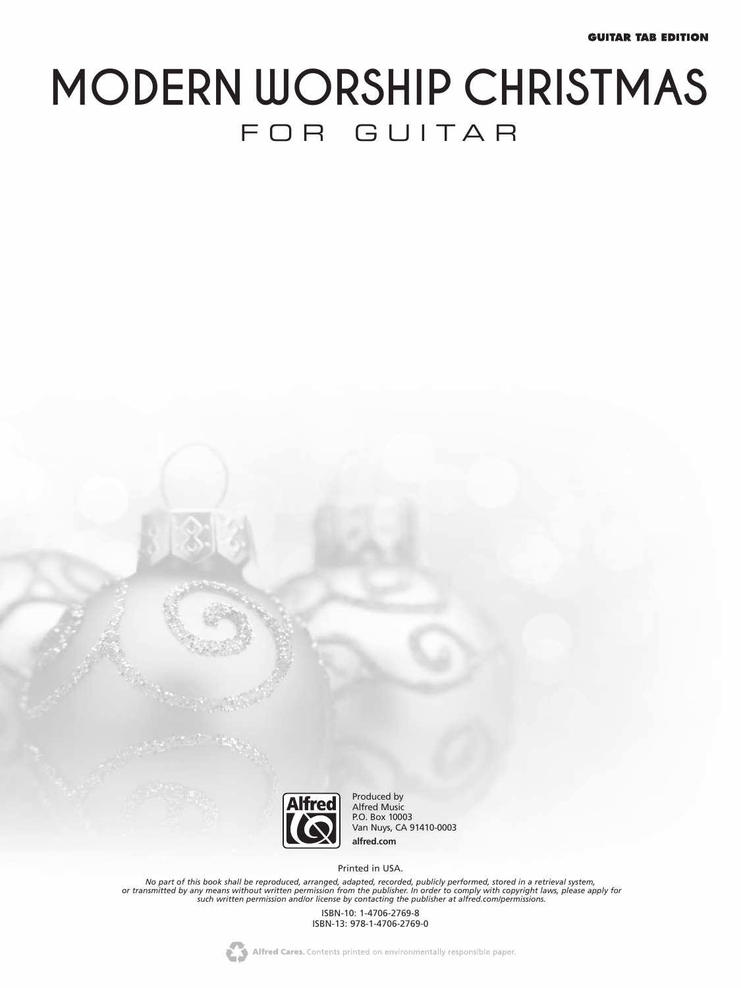# **MODERN WORSHIP CHRISTMAS** FOR GUITAR



Produced by Alfred Music P.O. Box 10003 Van Nuys, CA 91410-0003 **alfred.com**

Printed in USA.

No part of this book shall be reproduced, arranged, adapted, recorded, publicly performed, stored in a retrieval system,<br>or transmitted by any means without written permission from the publisher. In order to comply with co

ISBN-10: 1-4706-2769-8 ISBN-13: 978-1-4706-2769-0

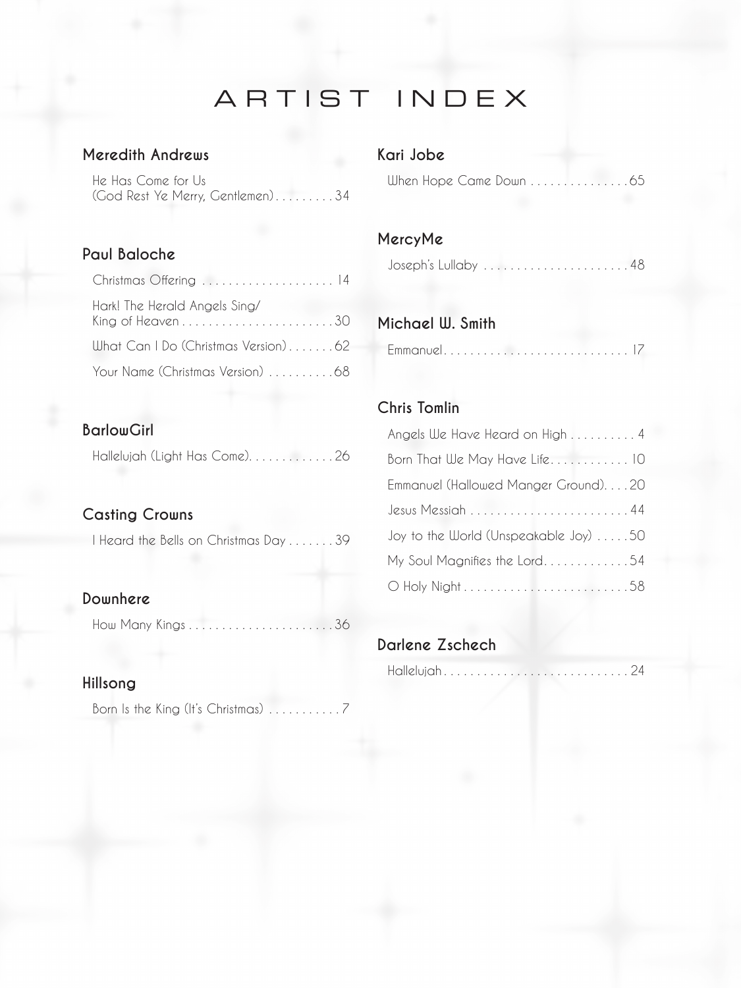## ARTIST INDEX

#### **Meredith Andrews**

He Has Come for Us (God Rest Ye Merry, Gentlemen) . . . . . . . . 34

#### **Paul Baloche**

| Christmas Offering  14                                                                  |  |
|-----------------------------------------------------------------------------------------|--|
| Hark! The Herald Angels Sing/<br>King of Heaven $\dots\dots\dots\dots\dots\dots\dots30$ |  |
| What Can I Do (Christmas Version)62                                                     |  |
| Your Name (Christmas Version) 68                                                        |  |

#### **BarlowGirl**

Hallelujah (Light Has Come).............26

#### **Casting Crowns**

I Heard the Bells on Christmas Day . . . . . . 39

#### **Downhere**

How Many Kings . . . . . . . . . . . . . . . . . . . . . 36

#### **Hillsong**

Born Is the King (It's Christmas) . . . . . . . . . . 7

#### **Kari Jobe**

When Hope Came Down . . . . . . . . . . . . . . 65

#### **MercyMe**

Joseph's Lullaby . . . . . . . . . . . . . . . . . . . . . 48

#### **Michael W. Smith**

|--|--|

#### **Chris Tomlin**

| Angels We Have Heard on High  4       |
|---------------------------------------|
| Born That We May Have Life 10         |
| Emmanuel (Hallowed Manger Ground)20   |
| $Jesus$ Messiah 44                    |
| Joy to the World (Unspeakable Joy) 50 |
| My Soul Magnifies the Lord54          |
|                                       |

#### **Darlene Zschech**

|--|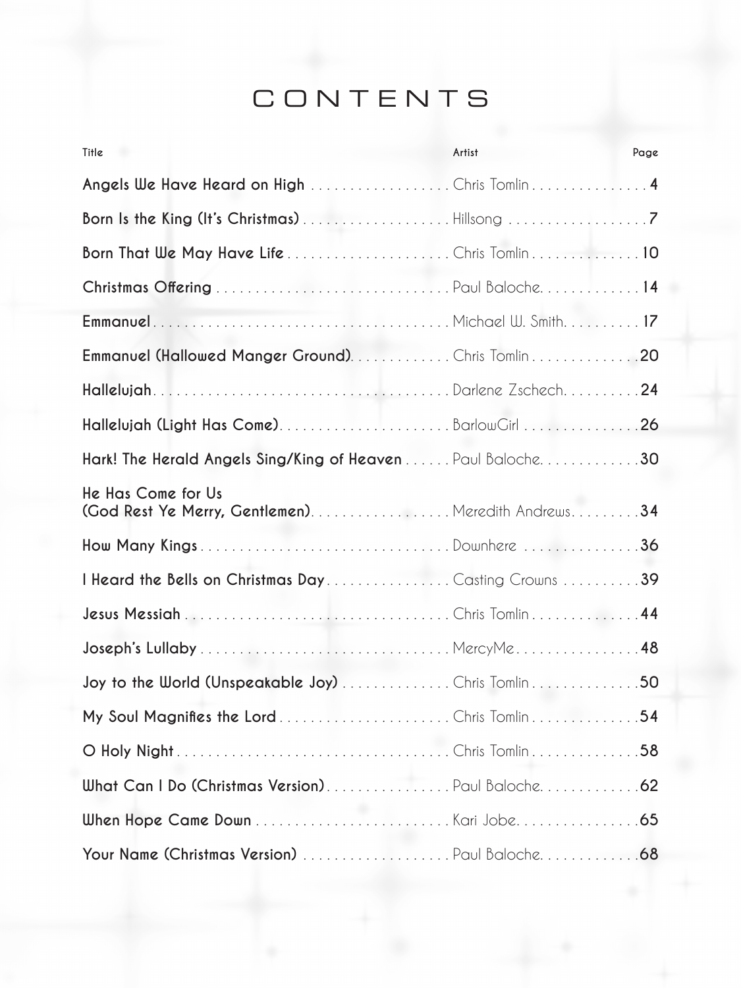## CONTENTS

| Title                                                                      | Artist | Page |
|----------------------------------------------------------------------------|--------|------|
| Angels We Have Heard on High Chris Tomlin 4                                |        |      |
|                                                                            |        |      |
|                                                                            |        |      |
|                                                                            |        |      |
|                                                                            |        |      |
| Emmanuel (Hallowed Manger Ground). Chris Tomlin 20                         |        |      |
| HallelujahDarlene Zschech24                                                |        |      |
|                                                                            |        |      |
| Hark! The Herald Angels Sing/King of Heaven Paul Baloche. 30               |        |      |
| He Has Come for Us<br>(God Rest Ye Merry, Gentlemen). Meredith Andrews. 34 |        |      |
| How Many KingsDownhere 36                                                  |        |      |
| I Heard the Bells on Christmas DayCasting Crowns 39                        |        |      |
|                                                                            |        |      |
|                                                                            |        |      |
| Joy to the World (Unspeakable Joy) Chris Tomlin 50                         |        |      |
|                                                                            |        |      |
|                                                                            |        |      |
| What Can I Do (Christmas Version)Paul Baloche 62                           |        |      |
|                                                                            |        |      |
|                                                                            |        |      |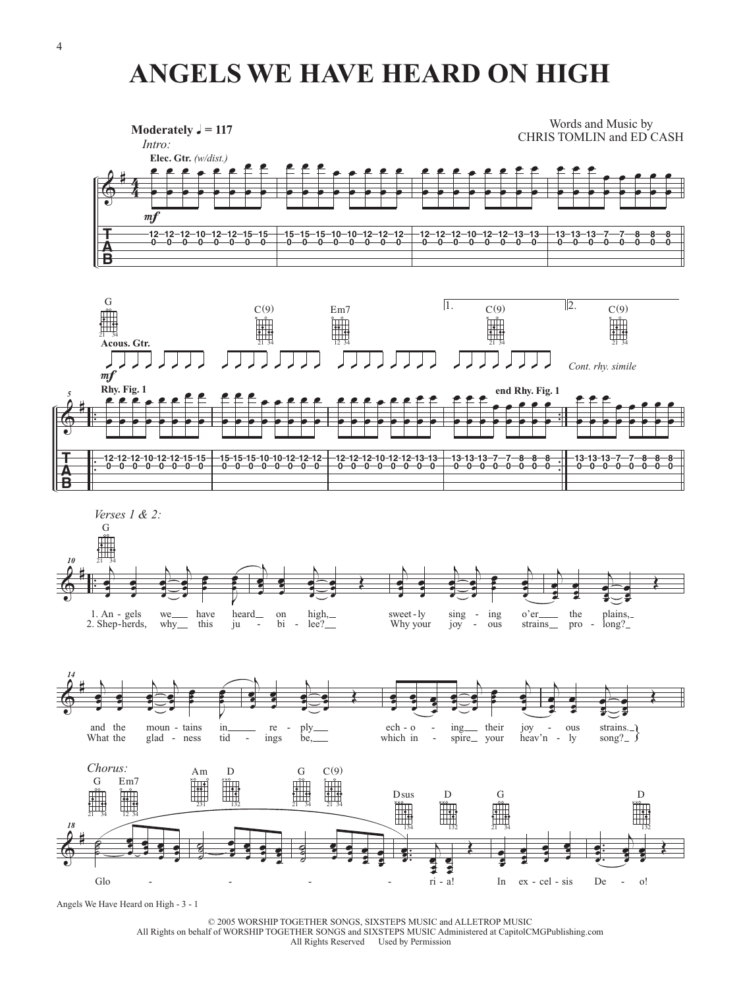## **ANGELS WE HAVE HEARD ON HIGH**









Angels We Have Heard on High - 3 - 1

© 2005 WORSHIP TOGETHER SONGS, SIXSTEPS MUSIC and ALLETROP MUSIC All Rights on behalf of WORSHIP TOGETHER SONGS and SIXSTEPS MUSIC Administered at CapitolCMGPublishing.com All Rights Reserved Used by Permission